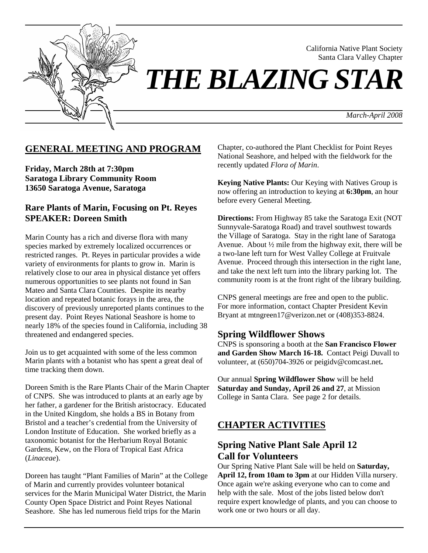

 California Native Plant Society Santa Clara Valley Chapter

*THE BLAZING STAR* 

 *March-April 2008*

### **GENERAL MEETING AND PROGRAM**

**Friday, March 28th at 7:30pm Saratoga Library Community Room 13650 Saratoga Avenue, Saratoga** 

### **Rare Plants of Marin, Focusing on Pt. Reyes SPEAKER: Doreen Smith**

Marin County has a rich and diverse flora with many species marked by extremely localized occurrences or restricted ranges. Pt. Reyes in particular provides a wide variety of environments for plants to grow in. Marin is relatively close to our area in physical distance yet offers numerous opportunities to see plants not found in San Mateo and Santa Clara Counties. Despite its nearby location and repeated botanic forays in the area, the discovery of previously unreported plants continues to the present day. Point Reyes National Seashore is home to nearly 18% of the species found in California, including 38 threatened and endangered species.

Join us to get acquainted with some of the less common Marin plants with a botanist who has spent a great deal of time tracking them down.

Doreen Smith is the Rare Plants Chair of the Marin Chapter of CNPS. She was introduced to plants at an early age by her father, a gardener for the British aristocracy. Educated in the United Kingdom, she holds a BS in Botany from Bristol and a teacher's credential from the University of London Institute of Education. She worked briefly as a taxonomic botanist for the Herbarium Royal Botanic Gardens, Kew, on the Flora of Tropical East Africa (*Linaceae*).

Doreen has taught "Plant Families of Marin" at the College of Marin and currently provides volunteer botanical services for the Marin Municipal Water District, the Marin County Open Space District and Point Reyes National Seashore. She has led numerous field trips for the Marin

Chapter, co-authored the Plant Checklist for Point Reyes National Seashore, and helped with the fieldwork for the recently updated *Flora of Marin*.

**Keying Native Plants:** Our Keying with Natives Group is now offering an introduction to keying at **6:30pm**, an hour before every General Meeting.

**Directions:** From Highway 85 take the Saratoga Exit (NOT Sunnyvale-Saratoga Road) and travel southwest towards the Village of Saratoga. Stay in the right lane of Saratoga Avenue. About ½ mile from the highway exit, there will be a two-lane left turn for West Valley College at Fruitvale Avenue. Proceed through this intersection in the right lane, and take the next left turn into the library parking lot. The community room is at the front right of the library building.

CNPS general meetings are free and open to the public. For more information, contact Chapter President Kevin Bryant at mtngreen17@verizon.net or (408)353-8824.

### **Spring Wildflower Shows**

CNPS is sponsoring a booth at the **San Francisco Flower and Garden Show March 16-18.** Contact Peigi Duvall to volunteer, at (650)704-3926 or peigidv@comcast.net**.** 

Our annual **Spring Wildflower Show** will be held **Saturday and Sunday, April 26 and 27**, at Mission College in Santa Clara. See page 2 for details.

### **CHAPTER ACTIVITIES**

## **Spring Native Plant Sale April 12 Call for Volunteers**

Our Spring Native Plant Sale will be held on **Saturday, April 12, from 10am to 3pm** at our Hidden Villa nursery. Once again we're asking everyone who can to come and help with the sale. Most of the jobs listed below don't require expert knowledge of plants, and you can choose to work one or two hours or all day.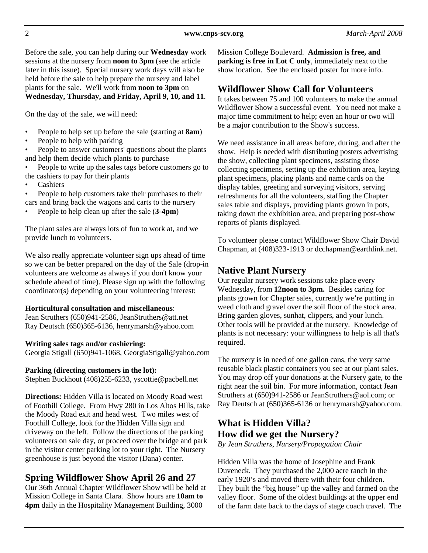Before the sale, you can help during our **Wednesday** work sessions at the nursery from **noon to 3pm** (see the article later in this issue). Special nursery work days will also be held before the sale to help prepare the nursery and label plants for the sale. We'll work from **noon to 3pm** on **Wednesday, Thursday, and Friday, April 9, 10, and 11**.

On the day of the sale, we will need:

- People to help set up before the sale (starting at **8am**)
- People to help with parking
- People to answer customers' questions about the plants and help them decide which plants to purchase
- People to write up the sales tags before customers go to the cashiers to pay for their plants
- **Cashiers**
- People to help customers take their purchases to their cars and bring back the wagons and carts to the nursery
- People to help clean up after the sale (**3-4pm**)

The plant sales are always lots of fun to work at, and we provide lunch to volunteers.

We also really appreciate volunteer sign ups ahead of time so we can be better prepared on the day of the Sale (drop-in volunteers are welcome as always if you don't know your schedule ahead of time). Please sign up with the following coordinator(s) depending on your volunteering interest:

#### **Horticultural consultation and miscellaneous**:

Jean Struthers (650)941-2586, JeanStruthers@att.net Ray Deutsch (650)365-6136, henrymarsh@yahoo.com

### **Writing sales tags and/or cashiering:**

Georgia Stigall (650)941-1068, GeorgiaStigall@yahoo.com

### **Parking (directing customers in the lot):**

Stephen Buckhout (408)255-6233, yscottie@pacbell.net

**Directions:** Hidden Villa is located on Moody Road west of Foothill College. From Hwy 280 in Los Altos Hills, take the Moody Road exit and head west. Two miles west of Foothill College, look for the Hidden Villa sign and driveway on the left. Follow the directions of the parking volunteers on sale day, or proceed over the bridge and park in the visitor center parking lot to your right. The Nursery greenhouse is just beyond the visitor (Dana) center.

# **Spring Wildflower Show April 26 and 27**

Our 36th Annual Chapter Wildflower Show will be held at Mission College in Santa Clara. Show hours are **10am to 4pm** daily in the Hospitality Management Building, 3000

Mission College Boulevard. **Admission is free, and parking is free in Lot C only**, immediately next to the show location. See the enclosed poster for more info.

## **Wildflower Show Call for Volunteers**

It takes between 75 and 100 volunteers to make the annual Wildflower Show a successful event. You need not make a major time commitment to help; even an hour or two will be a major contribution to the Show's success.

We need assistance in all areas before, during, and after the show. Help is needed with distributing posters advertising the show, collecting plant specimens, assisting those collecting specimens, setting up the exhibition area, keying plant specimens, placing plants and name cards on the display tables, greeting and surveying visitors, serving refreshments for all the volunteers, staffing the Chapter sales table and displays, providing plants grown in pots, taking down the exhibition area, and preparing post-show reports of plants displayed.

To volunteer please contact Wildflower Show Chair David Chapman, at (408)323-1913 or dcchapman@earthlink.net.

## **Native Plant Nursery**

Our regular nursery work sessions take place every Wednesday, from **12noon to 3pm.** Besides caring for plants grown for Chapter sales, currently we're putting in weed cloth and gravel over the soil floor of the stock area. Bring garden gloves, sunhat, clippers, and your lunch. Other tools will be provided at the nursery. Knowledge of plants is not necessary: your willingness to help is all that's required.

The nursery is in need of one gallon cans, the very same reusable black plastic containers you see at our plant sales. You may drop off your donations at the Nursery gate, to the right near the soil bin. For more information, contact Jean Struthers at (650)941-2586 or JeanStruthers@aol.com; or Ray Deutsch at (650)365-6136 or henrymarsh@yahoo.com.

# **What is Hidden Villa? How did we get the Nursery?**

*By Jean Struthers, Nursery/Propagation Chair* 

Hidden Villa was the home of Josephine and Frank Duveneck. They purchased the 2,000 acre ranch in the early 1920's and moved there with their four children. They built the "big house" up the valley and farmed on the valley floor. Some of the oldest buildings at the upper end of the farm date back to the days of stage coach travel. The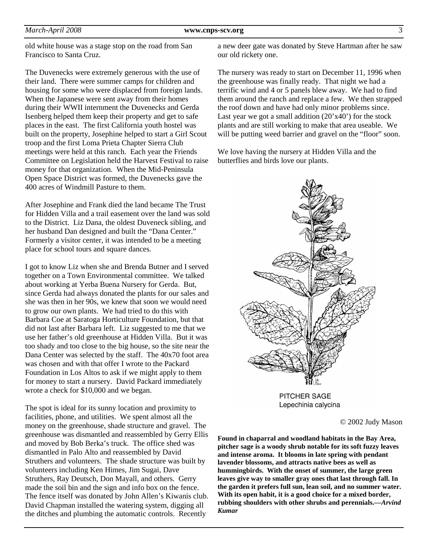old white house was a stage stop on the road from San Francisco to Santa Cruz.

The Duvenecks were extremely generous with the use of their land. There were summer camps for children and housing for some who were displaced from foreign lands. When the Japanese were sent away from their homes during their WWII internment the Duvenecks and Gerda Isenberg helped them keep their property and get to safe places in the east. The first California youth hostel was built on the property, Josephine helped to start a Girl Scout troop and the first Loma Prieta Chapter Sierra Club meetings were held at this ranch. Each year the Friends Committee on Legislation held the Harvest Festival to raise money for that organization. When the Mid-Peninsula Open Space District was formed, the Duvenecks gave the 400 acres of Windmill Pasture to them.

After Josephine and Frank died the land became The Trust for Hidden Villa and a trail easement over the land was sold to the District. Liz Dana, the oldest Duveneck sibling, and her husband Dan designed and built the "Dana Center." Formerly a visitor center, it was intended to be a meeting place for school tours and square dances.

I got to know Liz when she and Brenda Butner and I served together on a Town Environmental committee. We talked about working at Yerba Buena Nursery for Gerda. But, since Gerda had always donated the plants for our sales and she was then in her 90s, we knew that soon we would need to grow our own plants. We had tried to do this with Barbara Coe at Saratoga Horticulture Foundation, but that did not last after Barbara left. Liz suggested to me that we use her father's old greenhouse at Hidden Villa. But it was too shady and too close to the big house, so the site near the Dana Center was selected by the staff. The 40x70 foot area was chosen and with that offer I wrote to the Packard Foundation in Los Altos to ask if we might apply to them for money to start a nursery. David Packard immediately wrote a check for \$10,000 and we began.

The spot is ideal for its sunny location and proximity to facilities, phone, and utilities. We spent almost all the money on the greenhouse, shade structure and gravel. The greenhouse was dismantled and reassembled by Gerry Ellis and moved by Bob Berka's truck. The office shed was dismantled in Palo Alto and reassembled by David Struthers and volunteers. The shade structure was built by volunteers including Ken Himes, Jim Sugai, Dave Struthers, Ray Deutsch, Don Mayall, and others. Gerry made the soil bin and the sign and info box on the fence. The fence itself was donated by John Allen's Kiwanis club. David Chapman installed the watering system, digging all the ditches and plumbing the automatic controls. Recently

a new deer gate was donated by Steve Hartman after he saw our old rickety one.

The nursery was ready to start on December 11, 1996 when the greenhouse was finally ready. That night we had a terrific wind and 4 or 5 panels blew away. We had to find them around the ranch and replace a few. We then strapped the roof down and have had only minor problems since. Last year we got a small addition  $(20'x40')$  for the stock plants and are still working to make that area useable. We will be putting weed barrier and gravel on the "floor" soon.

We love having the nursery at Hidden Villa and the butterflies and birds love our plants.



PITCHER SAGE Lepechinia calycina

© 2002 Judy Mason

**Found in chaparral and woodland habitats in the Bay Area, pitcher sage is a woody shrub notable for its soft fuzzy leaves and intense aroma. It blooms in late spring with pendant lavender blossoms, and attracts native bees as well as hummingbirds. With the onset of summer, the large green leaves give way to smaller gray ones that last through fall. In the garden it prefers full sun, lean soil, and no summer water. With its open habit, it is a good choice for a mixed border, rubbing shoulders with other shrubs and perennials.—***Arvind Kumar*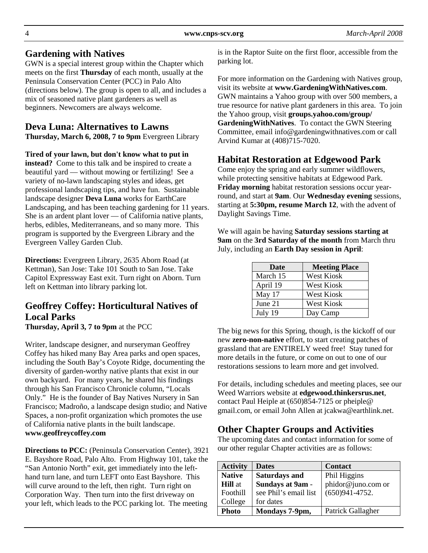### **Gardening with Natives**

GWN is a special interest group within the Chapter which meets on the first **Thursday** of each month, usually at the Peninsula Conservation Center (PCC) in Palo Alto (directions below). The group is open to all, and includes a mix of seasoned native plant gardeners as well as beginners. Newcomers are always welcome.

## **Deva Luna: Alternatives to Lawns**

**Thursday, March 6, 2008, 7 to 9pm** Evergreen Library

**Tired of your lawn, but don't know what to put in instead?** Come to this talk and be inspired to create a beautiful yard — without mowing or fertilizing! See a variety of no-lawn landscaping styles and ideas, get professional landscaping tips, and have fun. Sustainable landscape designer **Deva Luna** works for EarthCare Landscaping, and has been teaching gardening for 11 years. She is an ardent plant lover — of California native plants, herbs, edibles, Mediterraneans, and so many more. This program is supported by the Evergreen Library and the Evergreen Valley Garden Club.

**Directions:** Evergreen Library, 2635 Aborn Road (at Kettman), San Jose: Take 101 South to San Jose. Take Capitol Expressway East exit. Turn right on Aborn. Turn left on Kettman into library parking lot.

## **Geoffrey Coffey: Horticultural Natives of Local Parks**

**Thursday, April 3, 7 to 9pm** at the PCC

Writer, landscape designer, and nurseryman Geoffrey Coffey has hiked many Bay Area parks and open spaces, including the South Bay's Coyote Ridge, documenting the diversity of garden-worthy native plants that exist in our own backyard. For many years, he shared his findings through his San Francisco Chronicle column, "Locals Only." He is the founder of Bay Natives Nursery in San Francisco; Madroño, a landscape design studio; and Native Spaces, a non-profit organization which promotes the use of California native plants in the built landscape. **www.geoffreycoffey.com**

**Directions to PCC:** (Peninsula Conservation Center), 3921 E. Bayshore Road, Palo Alto. From Highway 101, take the "San Antonio North" exit, get immediately into the lefthand turn lane, and turn LEFT onto East Bayshore. This will curve around to the left, then right. Turn right on Corporation Way. Then turn into the first driveway on your left, which leads to the PCC parking lot. The meeting

is in the Raptor Suite on the first floor, accessible from the parking lot.

For more information on the Gardening with Natives group, visit its website at **www.GardeningWithNatives.com**. GWN maintains a Yahoo group with over 500 members, a true resource for native plant gardeners in this area. To join the Yahoo group, visit **groups.yahoo.com/group/ GardeningWithNatives**. To contact the GWN Steering Committee, email info@gardeningwithnatives.com or call Arvind Kumar at (408)715-7020.

## **Habitat Restoration at Edgewood Park**

Come enjoy the spring and early summer wildflowers, while protecting sensitive habitats at Edgewood Park. **Friday morning** habitat restoration sessions occur yearround, and start at **9am**. Our **Wednesday evening** sessions, starting at **5:30pm, resume March 12**, with the advent of Daylight Savings Time.

We will again be having **Saturday sessions starting at 9am** on the **3rd Saturday of the month** from March thru July, including an **Earth Day session in April**:

| Date     | <b>Meeting Place</b> |
|----------|----------------------|
| March 15 | <b>West Kiosk</b>    |
| April 19 | West Kiosk           |
| May 17   | <b>West Kiosk</b>    |
| June 21  | West Kiosk           |
| July 19  | Day Camp             |

The big news for this Spring, though, is the kickoff of our new **zero-non-native** effort, to start creating patches of grassland that are ENTIRELY weed free! Stay tuned for more details in the future, or come on out to one of our restorations sessions to learn more and get involved.

For details, including schedules and meeting places, see our Weed Warriors website at **edgewood.thinkersrus.net**, contact Paul Heiple at (650)854-7125 or pheiple@ gmail.com, or email John Allen at jcakwa@earthlink.net.

# **Other Chapter Groups and Activities**

The upcoming dates and contact information for some of our other regular Chapter activities are as follows:

| <b>Activity</b> | <b>Dates</b>          | <b>Contact</b>     |  |
|-----------------|-----------------------|--------------------|--|
| <b>Native</b>   | <b>Saturdays and</b>  | Phil Higgins       |  |
| <b>Hill</b> at  | Sundays at 9am -      | phidor@juno.com or |  |
| Foothill        | see Phil's email list | $(650)941 - 4752.$ |  |
| College         | for dates             |                    |  |
| Photo           | Mondays 7-9pm,        | Patrick Gallagher  |  |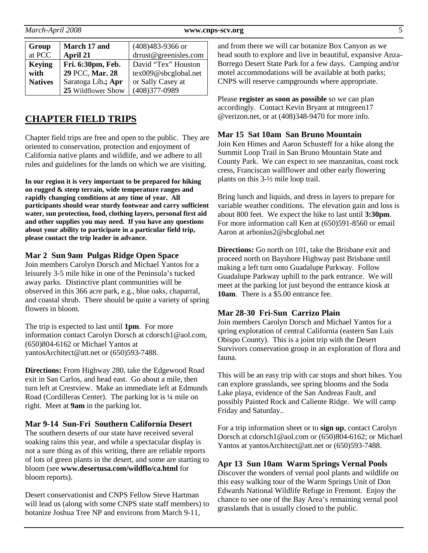| Group          | March 17 and       | $(408)483-9366$ or    |  |
|----------------|--------------------|-----------------------|--|
| at PCC         | April 21           | drrust@greenisles.com |  |
| <b>Keying</b>  | Fri. 6:30pm, Feb.  | David "Tex" Houston   |  |
| with           | 29 PCC, Mar. 28    | tex009@sbcglobal.net  |  |
| <b>Natives</b> | Saratoga Lib.; Apr | or Sally Casey at     |  |
|                | 25 Wildflower Show | $(408)377 - 0989$     |  |

## **CHAPTER FIELD TRIPS**

Chapter field trips are free and open to the public. They are oriented to conservation, protection and enjoyment of California native plants and wildlife, and we adhere to all rules and guidelines for the lands on which we are visiting.

**In our region it is very important to be prepared for hiking on rugged & steep terrain, wide temperature ranges and rapidly changing conditions at any time of year. All participants should wear sturdy footwear and carry sufficient water, sun protection, food, clothing layers, personal first aid and other supplies you may need. If you have any questions about your ability to participate in a particular field trip, please contact the trip leader in advance.** 

#### **Mar 2 Sun 9am Pulgas Ridge Open Space**

Join members Carolyn Dorsch and Michael Yantos for a leisurely 3-5 mile hike in one of the Peninsula's tucked away parks. Distinctive plant communities will be observed in this 366 acre park, e.g., blue oaks, chaparral, and coastal shrub. There should be quite a variety of spring flowers in bloom.

The trip is expected to last until **1pm**. For more information contact Carolyn Dorsch at cdorsch1@aol.com, (650)804-6162 or Michael Yantos at yantosArchitect@att.net or (650)593-7488.

**Directions:** From Highway 280, take the Edgewood Road exit in San Carlos, and head east. Go about a mile, then turn left at Crestview. Make an immediate left at Edmunds Road (Cordilleras Center). The parking lot is ¼ mile on right. Meet at **9am** in the parking lot.

#### **Mar 9-14 Sun-Fri Southern California Desert**

The southern deserts of our state have received several soaking rains this year, and while a spectacular display is not a sure thing as of this writing, there are reliable reports of lots of green plants in the desert, and some are starting to bloom (see **www.desertusa.com/wildflo/ca.html** for bloom reports).

Desert conservationist and CNPS Fellow Steve Hartman will lead us (along with some CNPS state staff members) to botanize Joshua Tree NP and environs from March 9-11,

and from there we will car botanize Box Canyon as we head south to explore and live in beautiful, expansive Anza-Borrego Desert State Park for a few days. Camping and/or motel accommodations will be available at both parks; CNPS will reserve campgrounds where appropriate.

Please **register as soon as possible** so we can plan accordingly. Contact Kevin Bryant at mtngreen17 @verizon.net, or at (408)348-9470 for more info.

#### **Mar 15 Sat 10am San Bruno Mountain**

Join Ken Himes and Aaron Schusteff for a hike along the Summit Loop Trail in San Bruno Mountain State and County Park. We can expect to see manzanitas, coast rock cress, Franciscan wallflower and other early flowering plants on this 3-½ mile loop trail.

Bring lunch and liquids, and dress in layers to prepare for variable weather conditions. The elevation gain and loss is about 800 feet. We expect the hike to last until **3:30pm**. For more information call Ken at (650)591-8560 or email Aaron at arbonius2@sbcglobal.net

**Directions:** Go north on 101, take the Brisbane exit and proceed north on Bayshore Highway past Brisbane until making a left turn onto Guadalupe Parkway. Follow Guadalupe Parkway uphill to the park entrance. We will meet at the parking lot just beyond the entrance kiosk at **10am**. There is a \$5.00 entrance fee.

#### **Mar 28-30 Fri-Sun Carrizo Plain**

Join members Carolyn Dorsch and Michael Yantos for a spring exploration of central California (eastern San Luis Obispo County). This is a joint trip with the Desert Survivors conservation group in an exploration of flora and fauna.

This will be an easy trip with car stops and short hikes. You can explore grasslands, see spring blooms and the Soda Lake playa, evidence of the San Andreas Fault, and possibly Painted Rock and Caliente Ridge. We will camp Friday and Saturday..

For a trip information sheet or to **sign up**, contact Carolyn Dorsch at cdorsch1@aol.com or (650)804-6162; or Michael Yantos at yantosArchitect@att.net or (650)593-7488.

#### **Apr 13 Sun 10am Warm Springs Vernal Pools**

Discover the wonders of vernal pool plants and wildlife on this easy walking tour of the Warm Springs Unit of Don Edwards National Wildlife Refuge in Fremont. Enjoy the chance to see one of the Bay Area's remaining vernal pool grasslands that is usually closed to the public.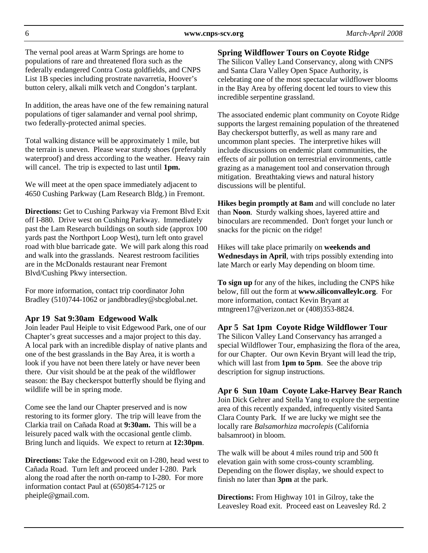The vernal pool areas at Warm Springs are home to populations of rare and threatened flora such as the federally endangered Contra Costa goldfields, and CNPS List 1B species including prostrate navarretia, Hoover's button celery, alkali milk vetch and Congdon's tarplant.

In addition, the areas have one of the few remaining natural populations of tiger salamander and vernal pool shrimp, two federally-protected animal species.

Total walking distance will be approximately 1 mile, but the terrain is uneven. Please wear sturdy shoes (preferably waterproof) and dress according to the weather. Heavy rain will cancel. The trip is expected to last until **1pm.**

We will meet at the open space immediately adjacent to 4650 Cushing Parkway (Lam Research Bldg.) in Fremont.

**Directions:** Get to Cushing Parkway via Fremont Blvd Exit off I-880. Drive west on Cushing Parkway. Immediately past the Lam Research buildings on south side (approx 100 yards past the Northport Loop West), turn left onto gravel road with blue barricade gate. We will park along this road and walk into the grasslands. Nearest restroom facilities are in the McDonalds restaurant near Fremont Blvd/Cushing Pkwy intersection.

For more information, contact trip coordinator John Bradley (510)744-1062 or jandbbradley@sbcglobal.net.

#### **Apr 19 Sat 9:30am Edgewood Walk**

Join leader Paul Heiple to visit Edgewood Park, one of our Chapter's great successes and a major project to this day. A local park with an incredible display of native plants and one of the best grasslands in the Bay Area, it is worth a look if you have not been there lately or have never been there. Our visit should be at the peak of the wildflower season: the Bay checkerspot butterfly should be flying and wildlife will be in spring mode.

Come see the land our Chapter preserved and is now restoring to its former glory. The trip will leave from the Clarkia trail on Cañada Road at **9:30am.** This will be a leisurely paced walk with the occasional gentle climb. Bring lunch and liquids. We expect to return at **12:30pm**.

**Directions:** Take the Edgewood exit on I-280, head west to Cañada Road. Turn left and proceed under I-280. Park along the road after the north on-ramp to I-280. For more information contact Paul at (650)854-7125 or pheiple@gmail.com.

#### **Spring Wildflower Tours on Coyote Ridge**

The Silicon Valley Land Conservancy, along with CNPS and Santa Clara Valley Open Space Authority, is celebrating one of the most spectacular wildflower blooms in the Bay Area by offering docent led tours to view this incredible serpentine grassland.

The associated endemic plant community on Coyote Ridge supports the largest remaining population of the threatened Bay checkerspot butterfly, as well as many rare and uncommon plant species. The interpretive hikes will include discussions on endemic plant communities, the effects of air pollution on terrestrial environments, cattle grazing as a management tool and conservation through mitigation. Breathtaking views and natural history discussions will be plentiful.

**Hikes begin promptly at 8am** and will conclude no later than **Noon**. Sturdy walking shoes, layered attire and binoculars are recommended. Don't forget your lunch or snacks for the picnic on the ridge!

Hikes will take place primarily on **weekends and Wednesdays in April**, with trips possibly extending into late March or early May depending on bloom time.

**To sign up** for any of the hikes, including the CNPS hike below, fill out the form at **www.siliconvalleylc.org**. For more information, contact Kevin Bryant at mtngreen17@verizon.net or (408)353-8824.

### **Apr 5 Sat 1pm Coyote Ridge Wildflower Tour**

The Silicon Valley Land Conservancy has arranged a special Wildflower Tour, emphasizing the flora of the area, for our Chapter. Our own Kevin Bryant will lead the trip, which will last from **1pm to 5pm**. See the above trip description for signup instructions.

#### **Apr 6 Sun 10am Coyote Lake-Harvey Bear Ranch**

Join Dick Gehrer and Stella Yang to explore the serpentine area of this recently expanded, infrequently visited Santa Clara County Park. If we are lucky we might see the locally rare *Balsamorhiza macrolepis* (California balsamroot) in bloom.

The walk will be about 4 miles round trip and 500 ft elevation gain with some cross-county scrambling. Depending on the flower display, we should expect to finish no later than **3pm** at the park.

**Directions:** From Highway 101 in Gilroy, take the Leavesley Road exit. Proceed east on Leavesley Rd. 2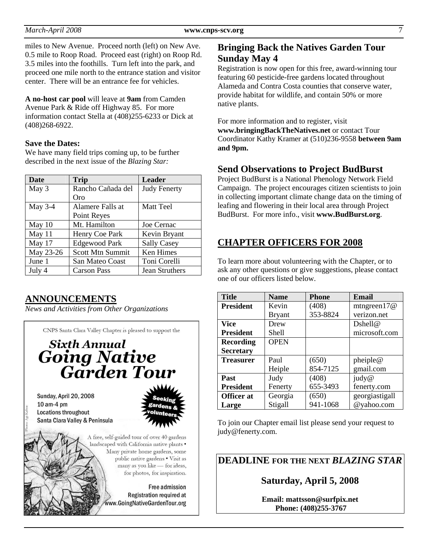miles to New Avenue. Proceed north (left) on New Ave. 0.5 mile to Roop Road. Proceed east (right) on Roop Rd. 3.5 miles into the foothills. Turn left into the park, and proceed one mile north to the entrance station and visitor center. There will be an entrance fee for vehicles.

**A no-host car pool** will leave at **9am** from Camden Avenue Park & Ride off Highway 85. For more information contact Stella at (408)255-6233 or Dick at (408)268-6922.

#### **Save the Dates:**

We have many field trips coming up, to be further described in the next issue of the *Blazing Star:* 

| Date      | <b>Trip</b>             | <b>Leader</b>       |  |
|-----------|-------------------------|---------------------|--|
| May 3     | Rancho Cañada del       | <b>Judy Fenerty</b> |  |
|           | Oro                     |                     |  |
| May $3-4$ | Alamere Falls at        | <b>Matt Teel</b>    |  |
|           | Point Reyes             |                     |  |
| May 10    | Mt. Hamilton            | Joe Cernac          |  |
| May 11    | Henry Coe Park          | Kevin Bryant        |  |
| May 17    | <b>Edgewood Park</b>    | <b>Sally Casey</b>  |  |
| May 23-26 | <b>Scott Mtn Summit</b> | <b>Ken Himes</b>    |  |
| June 1    | San Mateo Coast         | Toni Corelli        |  |
| July 4    | <b>Carson Pass</b>      | Jean Struthers      |  |

## **ANNOUNCEMENTS**

*News and Activities from Other Organizations*

CNPS Santa Clara Valley Chapter is pleased to support the **Sixth Annual**<br>**Going Native**<br>**Garden Tour** Sunday, April 20, 2008 10 am-4 pm Locations throughout Santa Clara Valley & Peninsula



A free, self-guided tour of over 40 gardens landscaped with California native plants . Many private home gardens, some public native gardens . Visit as many as you like - for ideas, for photos, for inspiration.

> Free admission Registration required at www.GoingNativeGardenTour.org

## **Bringing Back the Natives Garden Tour Sunday May 4**

Registration is now open for this free, award-winning tour featuring 60 pesticide-free gardens located throughout Alameda and Contra Costa counties that conserve water, provide habitat for wildlife, and contain 50% or more native plants.

For more information and to register, visit **www.bringingBackTheNatives.net** or contact Tour Coordinator Kathy Kramer at (510)236-9558 **between 9am and 9pm.** 

### **Send Observations to Project BudBurst**

Project BudBurst is a National Phenology Network Field Campaign. The project encourages citizen scientists to join in collecting important climate change data on the timing of leafing and flowering in their local area through Project BudBurst. For more info., visit **www.BudBurst.org**.

## **CHAPTER OFFICERS FOR 2008**

To learn more about volunteering with the Chapter, or to ask any other questions or give suggestions, please contact one of our officers listed below.

| <b>Title</b>      | <b>Name</b>   | <b>Phone</b> | <b>Email</b>   |
|-------------------|---------------|--------------|----------------|
| <b>President</b>  | Kevin         | (408)        | mtngreen $17@$ |
|                   | <b>Bryant</b> | 353-8824     | verizon.net    |
| <b>Vice</b>       | Drew          |              | Dshell@        |
| <b>President</b>  | Shell         |              | microsoft.com  |
| <b>Recording</b>  | <b>OPEN</b>   |              |                |
| <b>Secretary</b>  |               |              |                |
| <b>Treasurer</b>  | Paul          | (650)        | pheiple@       |
|                   | Heiple        | 854-7125     | gmail.com      |
| <b>Past</b>       | Judy          | (408)        | judy@          |
| <b>President</b>  | Fenerty       | 655-3493     | fenerty.com    |
| <b>Officer</b> at | Georgia       | (650)        | georgiastigall |
| Large             | Stigall       | 941-1068     | @yahoo.com     |

To join our Chapter email list please send your request to judy@fenerty.com.

**DEADLINE FOR THE NEXT** *BLAZING STAR* 

**Saturday, April 5, 2008** 

**Email: mattsson@surfpix.net Phone: (408)255-3767**